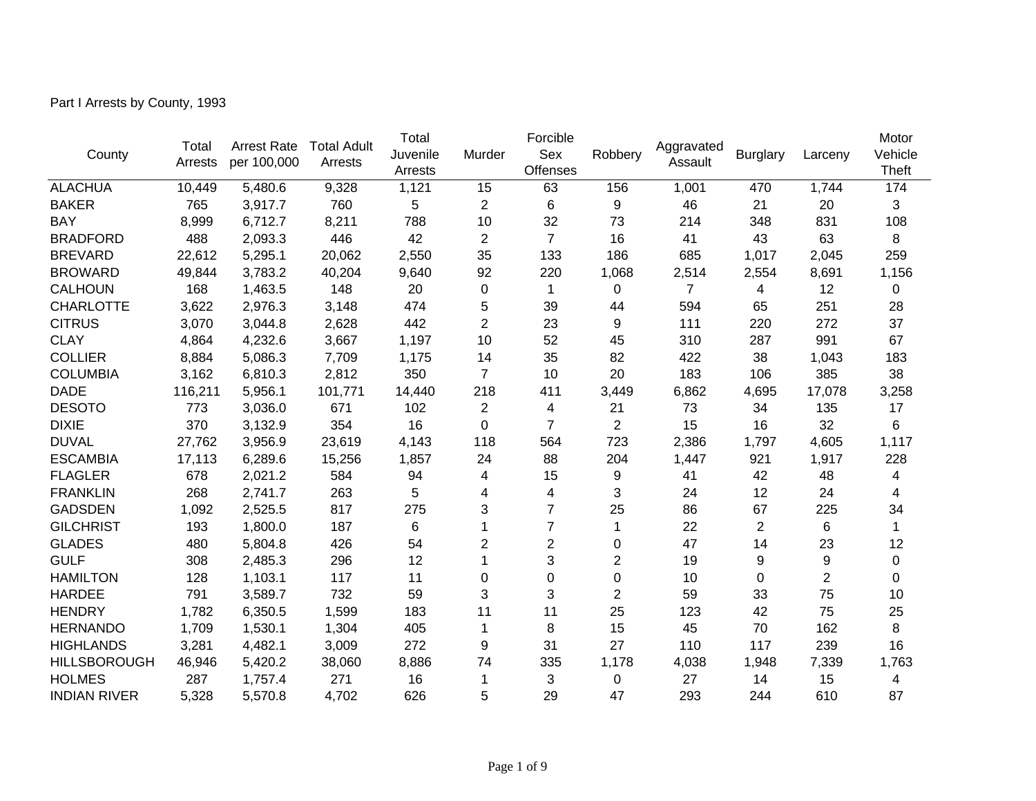Part I Arrests by County, 1993

|                     |                  | <b>Arrest Rate</b> |                               | Total    | Forcible       | Aggravated      |                |                |                 | Motor          |              |
|---------------------|------------------|--------------------|-------------------------------|----------|----------------|-----------------|----------------|----------------|-----------------|----------------|--------------|
| County              | Total<br>Arrests | per 100,000        | <b>Total Adult</b><br>Arrests | Juvenile | Murder         | Sex             | Robbery        | Assault        | <b>Burglary</b> | Larceny        | Vehicle      |
|                     |                  |                    |                               | Arrests  |                | <b>Offenses</b> |                |                |                 |                | <b>Theft</b> |
| <b>ALACHUA</b>      | 10,449           | 5,480.6            | 9,328                         | 1,121    | 15             | 63              | 156            | 1,001          | 470             | 1,744          | 174          |
| <b>BAKER</b>        | 765              | 3,917.7            | 760                           | 5        | 2              | 6               | 9              | 46             | 21              | 20             | 3            |
| <b>BAY</b>          | 8,999            | 6,712.7            | 8,211                         | 788      | 10             | 32              | 73             | 214            | 348             | 831            | 108          |
| <b>BRADFORD</b>     | 488              | 2,093.3            | 446                           | 42       | 2              | $\overline{7}$  | 16             | 41             | 43              | 63             | 8            |
| <b>BREVARD</b>      | 22,612           | 5,295.1            | 20,062                        | 2,550    | 35             | 133             | 186            | 685            | 1,017           | 2,045          | 259          |
| <b>BROWARD</b>      | 49,844           | 3,783.2            | 40,204                        | 9,640    | 92             | 220             | 1,068          | 2,514          | 2,554           | 8,691          | 1,156        |
| <b>CALHOUN</b>      | 168              | 1,463.5            | 148                           | 20       | 0              | 1               | 0              | $\overline{7}$ | 4               | 12             | 0            |
| <b>CHARLOTTE</b>    | 3,622            | 2,976.3            | 3,148                         | 474      | 5              | 39              | 44             | 594            | 65              | 251            | 28           |
| <b>CITRUS</b>       | 3,070            | 3,044.8            | 2,628                         | 442      | $\overline{2}$ | 23              | 9              | 111            | 220             | 272            | 37           |
| <b>CLAY</b>         | 4,864            | 4,232.6            | 3,667                         | 1,197    | 10             | 52              | 45             | 310            | 287             | 991            | 67           |
| <b>COLLIER</b>      | 8,884            | 5,086.3            | 7,709                         | 1,175    | 14             | 35              | 82             | 422            | 38              | 1,043          | 183          |
| <b>COLUMBIA</b>     | 3,162            | 6,810.3            | 2,812                         | 350      | $\overline{7}$ | 10              | 20             | 183            | 106             | 385            | 38           |
| <b>DADE</b>         | 116,211          | 5,956.1            | 101,771                       | 14,440   | 218            | 411             | 3,449          | 6,862          | 4,695           | 17,078         | 3,258        |
| <b>DESOTO</b>       | 773              | 3,036.0            | 671                           | 102      | 2              | 4               | 21             | 73             | 34              | 135            | 17           |
| <b>DIXIE</b>        | 370              | 3,132.9            | 354                           | 16       | $\Omega$       | $\overline{7}$  | $\overline{2}$ | 15             | 16              | 32             | 6            |
| <b>DUVAL</b>        | 27,762           | 3,956.9            | 23,619                        | 4,143    | 118            | 564             | 723            | 2,386          | 1,797           | 4,605          | 1,117        |
| <b>ESCAMBIA</b>     | 17,113           | 6,289.6            | 15,256                        | 1,857    | 24             | 88              | 204            | 1,447          | 921             | 1,917          | 228          |
| <b>FLAGLER</b>      | 678              | 2,021.2            | 584                           | 94       | 4              | 15              | 9              | 41             | 42              | 48             | 4            |
| <b>FRANKLIN</b>     | 268              | 2,741.7            | 263                           | 5        | 4              | 4               | 3              | 24             | 12              | 24             | 4            |
| <b>GADSDEN</b>      | 1,092            | 2,525.5            | 817                           | 275      | 3              | 7               | 25             | 86             | 67              | 225            | 34           |
| <b>GILCHRIST</b>    | 193              | 1,800.0            | 187                           | 6        | 1              | $\overline{7}$  | 1              | 22             | 2               | 6              | 1            |
| <b>GLADES</b>       | 480              | 5,804.8            | 426                           | 54       | $\overline{2}$ | $\overline{c}$  | $\mathbf 0$    | 47             | 14              | 23             | 12           |
| <b>GULF</b>         | 308              | 2,485.3            | 296                           | 12       | 1              | 3               | $\overline{2}$ | 19             | 9               | 9              | 0            |
| <b>HAMILTON</b>     | 128              | 1,103.1            | 117                           | 11       | 0              | 0               | 0              | 10             | 0               | $\overline{2}$ | 0            |
| <b>HARDEE</b>       | 791              | 3,589.7            | 732                           | 59       | 3              | 3               | $\overline{2}$ | 59             | 33              | 75             | 10           |
| <b>HENDRY</b>       | 1,782            | 6,350.5            | 1,599                         | 183      | 11             | 11              | 25             | 123            | 42              | 75             | 25           |
| <b>HERNANDO</b>     | 1,709            | 1,530.1            | 1,304                         | 405      | 1              | 8               | 15             | 45             | 70              | 162            | 8            |
| <b>HIGHLANDS</b>    | 3,281            | 4,482.1            | 3,009                         | 272      | 9              | 31              | 27             | 110            | 117             | 239            | 16           |
| <b>HILLSBOROUGH</b> | 46,946           | 5,420.2            | 38,060                        | 8,886    | 74             | 335             | 1,178          | 4,038          | 1,948           | 7,339          | 1,763        |
| <b>HOLMES</b>       | 287              | 1,757.4            | 271                           | 16       | 1              | 3               | 0              | 27             | 14              | 15             | 4            |
| <b>INDIAN RIVER</b> | 5,328            | 5,570.8            | 4,702                         | 626      | 5              | 29              | 47             | 293            | 244             | 610            | 87           |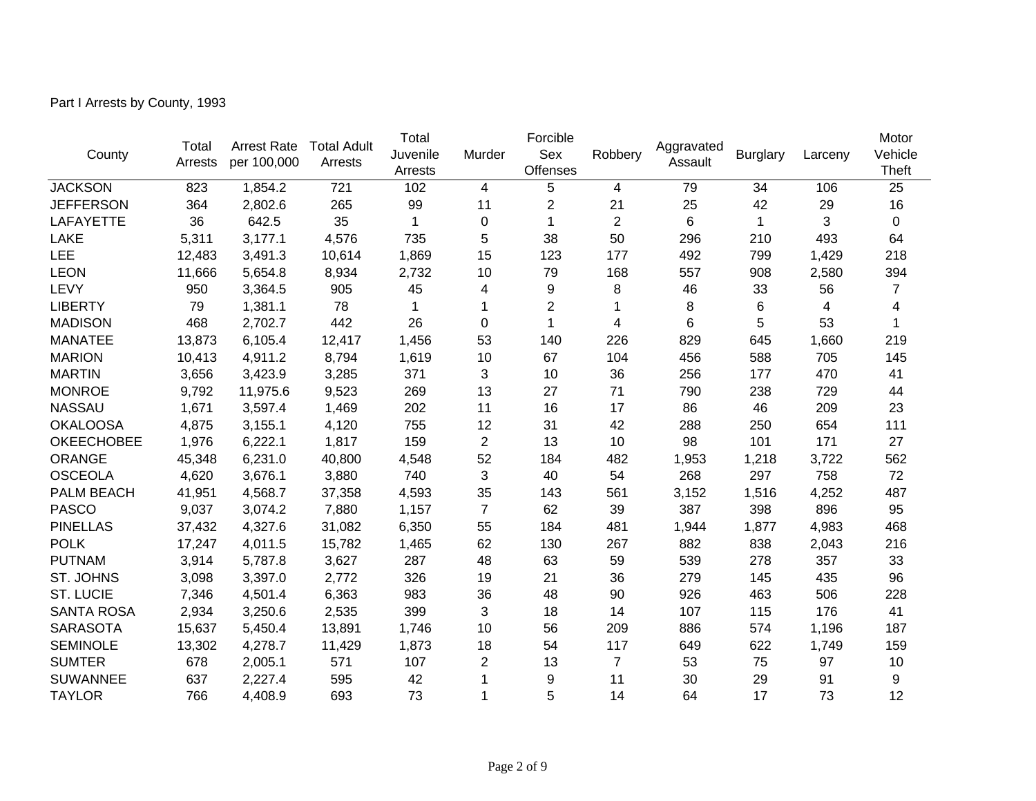Part I Arrests by County, 1993

|                   | Total   | <b>Arrest Rate</b> | <b>Total Adult</b> | Total        | Juvenile<br>Murder | Forcible               |                | Aggravated |                 |         | Motor                   |
|-------------------|---------|--------------------|--------------------|--------------|--------------------|------------------------|----------------|------------|-----------------|---------|-------------------------|
| County            | Arrests | per 100,000        | Arrests            | Arrests      |                    | Sex<br><b>Offenses</b> | Robbery        | Assault    | <b>Burglary</b> | Larceny | Vehicle<br><b>Theft</b> |
| <b>JACKSON</b>    | 823     | 1,854.2            | 721                | 102          | 4                  | 5                      | 4              | 79         | 34              | 106     | 25                      |
| <b>JEFFERSON</b>  | 364     | 2,802.6            | 265                | 99           | 11                 | $\overline{c}$         | 21             | 25         | 42              | 29      | 16                      |
| <b>LAFAYETTE</b>  | 36      | 642.5              | 35                 | $\mathbf{1}$ | $\pmb{0}$          | 1                      | $\overline{2}$ | 6          | 1               | 3       | 0                       |
| LAKE              | 5,311   | 3,177.1            | 4,576              | 735          | 5                  | 38                     | 50             | 296        | 210             | 493     | 64                      |
| <b>LEE</b>        | 12,483  | 3,491.3            | 10,614             | 1,869        | 15                 | 123                    | 177            | 492        | 799             | 1,429   | 218                     |
| <b>LEON</b>       | 11,666  | 5,654.8            | 8,934              | 2,732        | 10                 | 79                     | 168            | 557        | 908             | 2,580   | 394                     |
| LEVY              | 950     | 3,364.5            | 905                | 45           | 4                  | 9                      | 8              | 46         | 33              | 56      | $\overline{7}$          |
| <b>LIBERTY</b>    | 79      | 1,381.1            | 78                 | 1            | 1                  | 2                      | 1              | 8          | 6               | 4       | 4                       |
| <b>MADISON</b>    | 468     | 2,702.7            | 442                | 26           | $\mathbf 0$        | 1                      | 4              | 6          | 5               | 53      | 1                       |
| <b>MANATEE</b>    | 13,873  | 6,105.4            | 12,417             | 1,456        | 53                 | 140                    | 226            | 829        | 645             | 1,660   | 219                     |
| <b>MARION</b>     | 10,413  | 4,911.2            | 8,794              | 1,619        | 10                 | 67                     | 104            | 456        | 588             | 705     | 145                     |
| <b>MARTIN</b>     | 3,656   | 3,423.9            | 3,285              | 371          | 3                  | 10                     | 36             | 256        | 177             | 470     | 41                      |
| <b>MONROE</b>     | 9,792   | 11,975.6           | 9,523              | 269          | 13                 | 27                     | 71             | 790        | 238             | 729     | 44                      |
| <b>NASSAU</b>     | 1,671   | 3,597.4            | 1,469              | 202          | 11                 | 16                     | 17             | 86         | 46              | 209     | 23                      |
| <b>OKALOOSA</b>   | 4,875   | 3,155.1            | 4,120              | 755          | 12                 | 31                     | 42             | 288        | 250             | 654     | 111                     |
| <b>OKEECHOBEE</b> | 1,976   | 6,222.1            | 1,817              | 159          | $\overline{2}$     | 13                     | 10             | 98         | 101             | 171     | 27                      |
| ORANGE            | 45,348  | 6,231.0            | 40,800             | 4,548        | 52                 | 184                    | 482            | 1,953      | 1,218           | 3,722   | 562                     |
| <b>OSCEOLA</b>    | 4,620   | 3,676.1            | 3,880              | 740          | 3                  | 40                     | 54             | 268        | 297             | 758     | 72                      |
| PALM BEACH        | 41,951  | 4,568.7            | 37,358             | 4,593        | 35                 | 143                    | 561            | 3,152      | 1,516           | 4,252   | 487                     |
| <b>PASCO</b>      | 9,037   | 3,074.2            | 7,880              | 1,157        | $\overline{7}$     | 62                     | 39             | 387        | 398             | 896     | 95                      |
| <b>PINELLAS</b>   | 37,432  | 4,327.6            | 31,082             | 6,350        | 55                 | 184                    | 481            | 1,944      | 1,877           | 4,983   | 468                     |
| <b>POLK</b>       | 17,247  | 4,011.5            | 15,782             | 1,465        | 62                 | 130                    | 267            | 882        | 838             | 2,043   | 216                     |
| <b>PUTNAM</b>     | 3,914   | 5,787.8            | 3,627              | 287          | 48                 | 63                     | 59             | 539        | 278             | 357     | 33                      |
| ST. JOHNS         | 3,098   | 3,397.0            | 2,772              | 326          | 19                 | 21                     | 36             | 279        | 145             | 435     | 96                      |
| <b>ST. LUCIE</b>  | 7,346   | 4,501.4            | 6,363              | 983          | 36                 | 48                     | 90             | 926        | 463             | 506     | 228                     |
| <b>SANTA ROSA</b> | 2,934   | 3,250.6            | 2,535              | 399          | 3                  | 18                     | 14             | 107        | 115             | 176     | 41                      |
| <b>SARASOTA</b>   | 15,637  | 5,450.4            | 13,891             | 1,746        | 10                 | 56                     | 209            | 886        | 574             | 1,196   | 187                     |
| <b>SEMINOLE</b>   | 13,302  | 4,278.7            | 11,429             | 1,873        | 18                 | 54                     | 117            | 649        | 622             | 1,749   | 159                     |
| <b>SUMTER</b>     | 678     | 2,005.1            | 571                | 107          | $\overline{2}$     | 13                     | $\overline{7}$ | 53         | 75              | 97      | 10                      |
| <b>SUWANNEE</b>   | 637     | 2,227.4            | 595                | 42           | 1                  | 9                      | 11             | 30         | 29              | 91      | 9                       |
| <b>TAYLOR</b>     | 766     | 4,408.9            | 693                | 73           |                    | 5                      | 14             | 64         | 17              | 73      | 12                      |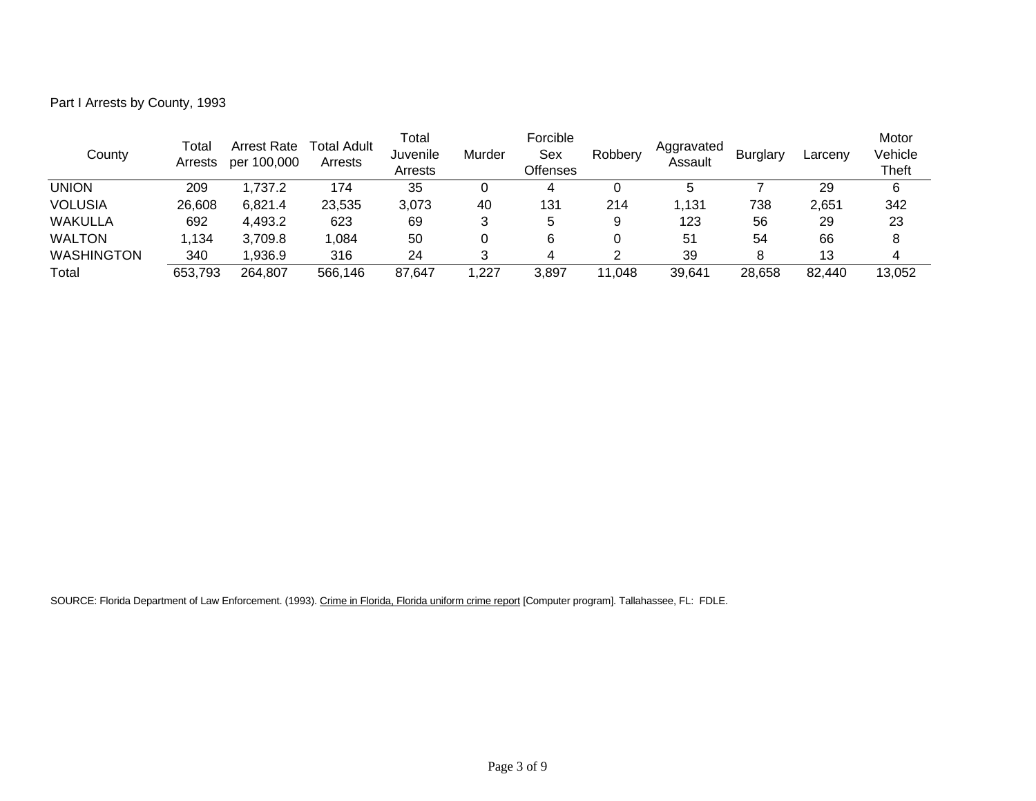Part I Arrests by County, 1993

| County            | Total<br>Arrests | <b>Arrest Rate</b><br>per 100,000 | Total Adult<br>Arrests | Total<br>Juvenile<br>Arrests | Murder | Forcible<br>Sex<br>Offenses | Robbery | Aggravated<br>Assault | <b>Burglary</b> | Larcenv | Motor<br>Vehicle<br><b>Theft</b> |
|-------------------|------------------|-----------------------------------|------------------------|------------------------------|--------|-----------------------------|---------|-----------------------|-----------------|---------|----------------------------------|
| UNION             | 209              | 1,737.2                           | 174                    | 35                           |        | 4                           |         | 5                     |                 | 29      | 6                                |
| <b>VOLUSIA</b>    | 26,608           | 6,821.4                           | 23,535                 | 3,073                        | 40     | 131                         | 214     | 1,131                 | 738             | 2,651   | 342                              |
| <b>WAKULLA</b>    | 692              | 4,493.2                           | 623                    | 69                           |        | 5                           | 9       | 123                   | 56              | 29      | 23                               |
| <b>WALTON</b>     | ∣.134            | 3,709.8                           | 1,084                  | 50                           |        | 6                           |         | 51                    | 54              | 66      | 8                                |
| <b>WASHINGTON</b> | 340              | .936.9                            | 316                    | 24                           |        | 4                           | っ       | 39                    | 8               | 13      |                                  |
| Total             | 653,793          | 264,807                           | 566,146                | 87,647                       | 227, ، | 3,897                       | 11.048  | 39,641                | 28,658          | 82,440  | 13,052                           |

SOURCE: Florida Department of Law Enforcement. (1993). Crime in Florida, Florida uniform crime report [Computer program]. Tallahassee, FL: FDLE.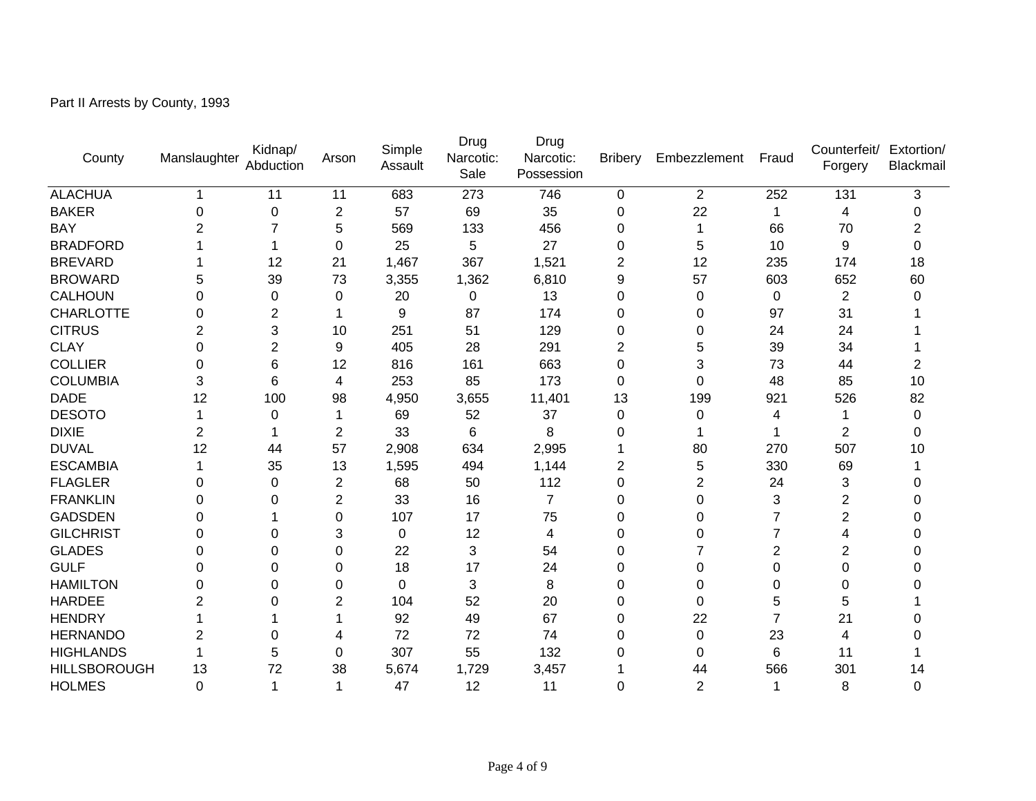Part II Arrests by County, 1993

| County              | Manslaughter | Kidnap/<br>Abduction | Arson          | Simple<br>Assault | Drug<br>Narcotic:<br>Sale | Drug<br>Narcotic:<br>Possession | <b>Bribery</b> | Embezzlement   | Fraud          | Counterfeit/<br>Forgery | Extortion/<br>Blackmail |
|---------------------|--------------|----------------------|----------------|-------------------|---------------------------|---------------------------------|----------------|----------------|----------------|-------------------------|-------------------------|
| <b>ALACHUA</b>      | 1            | 11                   | 11             | 683               | 273                       | 746                             | $\pmb{0}$      | $\overline{2}$ | 252            | 131                     | 3                       |
| <b>BAKER</b>        | $\Omega$     | 0                    | $\overline{2}$ | 57                | 69                        | 35                              | 0              | 22             | 1              | 4                       | 0                       |
| <b>BAY</b>          | 2            |                      | 5              | 569               | 133                       | 456                             | $\Omega$       | 1              | 66             | 70                      | $\overline{2}$          |
| <b>BRADFORD</b>     |              |                      | $\mathbf 0$    | 25                | 5                         | 27                              | 0              | 5              | 10             | 9                       | 0                       |
| <b>BREVARD</b>      |              | 12                   | 21             | 1,467             | 367                       | 1,521                           | $\overline{2}$ | 12             | 235            | 174                     | 18                      |
| <b>BROWARD</b>      | 5            | 39                   | 73             | 3,355             | 1,362                     | 6,810                           | 9              | 57             | 603            | 652                     | 60                      |
| <b>CALHOUN</b>      | 0            | 0                    | $\mathbf 0$    | 20                | $\mathbf 0$               | 13                              | $\mathbf 0$    | 0              | 0              | $\overline{2}$          | 0                       |
| <b>CHARLOTTE</b>    | 0            | 2                    |                | 9                 | 87                        | 174                             | 0              | 0              | 97             | 31                      |                         |
| <b>CITRUS</b>       |              | 3                    | 10             | 251               | 51                        | 129                             | $\Omega$       | 0              | 24             | 24                      |                         |
| <b>CLAY</b>         | 0            | $\overline{2}$       | 9              | 405               | 28                        | 291                             | $\overline{2}$ | 5              | 39             | 34                      |                         |
| <b>COLLIER</b>      | 0            | 6                    | 12             | 816               | 161                       | 663                             | $\mathbf 0$    | 3              | 73             | 44                      | 2                       |
| <b>COLUMBIA</b>     | 3            | 6                    | 4              | 253               | 85                        | 173                             | $\Omega$       | 0              | 48             | 85                      | 10                      |
| <b>DADE</b>         | 12           | 100                  | 98             | 4,950             | 3,655                     | 11,401                          | 13             | 199            | 921            | 526                     | 82                      |
| <b>DESOTO</b>       |              | 0                    | 1              | 69                | 52                        | 37                              | 0              | 0              | 4              | 1                       | 0                       |
| <b>DIXIE</b>        | 2            |                      | $\overline{2}$ | 33                | 6                         | 8                               | 0              |                |                | 2                       | 0                       |
| <b>DUVAL</b>        | 12           | 44                   | 57             | 2,908             | 634                       | 2,995                           |                | 80             | 270            | 507                     | 10                      |
| <b>ESCAMBIA</b>     |              | 35                   | 13             | 1,595             | 494                       | 1,144                           | $\overline{2}$ | 5              | 330            | 69                      |                         |
| <b>FLAGLER</b>      | 0            | $\Omega$             | $\overline{2}$ | 68                | 50                        | 112                             | $\overline{0}$ | $\overline{2}$ | 24             | 3                       | ∩                       |
| <b>FRANKLIN</b>     | 0            | 0                    | $\overline{c}$ | 33                | 16                        | $\overline{7}$                  | 0              | 0              | 3              | 2                       | ი                       |
| <b>GADSDEN</b>      | O            |                      | $\Omega$       | 107               | 17                        | 75                              | 0              | 0              | 7              | $\overline{2}$          | 0                       |
| <b>GILCHRIST</b>    | 0            | 0                    | 3              | 0                 | 12                        | 4                               | $\Omega$       | 0              | 7              | 4                       | 0                       |
| <b>GLADES</b>       | 0            | 0                    | $\mathbf 0$    | 22                | 3                         | 54                              | 0              | 7              | $\overline{2}$ | 2                       | ი                       |
| <b>GULF</b>         | 0            | 0                    | 0              | 18                | 17                        | 24                              | 0              | 0              | 0              | 0                       |                         |
| <b>HAMILTON</b>     | O            | 0                    | $\Omega$       | $\Omega$          | 3                         | 8                               | $\Omega$       | 0              | 0              | 0                       |                         |
| <b>HARDEE</b>       |              | ი                    | $\overline{2}$ | 104               | 52                        | 20                              | $\Omega$       | 0              | 5              | 5                       |                         |
| <b>HENDRY</b>       |              |                      |                | 92                | 49                        | 67                              | 0              | 22             |                | 21                      |                         |
| <b>HERNANDO</b>     | 2            | 0                    | 4              | 72                | 72                        | 74                              | 0              | 0              | 23             | 4                       |                         |
| <b>HIGHLANDS</b>    |              | 5                    | 0              | 307               | 55                        | 132                             | 0              | 0              | 6              | 11                      |                         |
| <b>HILLSBOROUGH</b> | 13           | 72                   | 38             | 5,674             | 1,729                     | 3,457                           |                | 44             | 566            | 301                     | 14                      |
| <b>HOLMES</b>       | 0            |                      |                | 47                | 12                        | 11                              | $\Omega$       | $\overline{2}$ |                | 8                       | 0                       |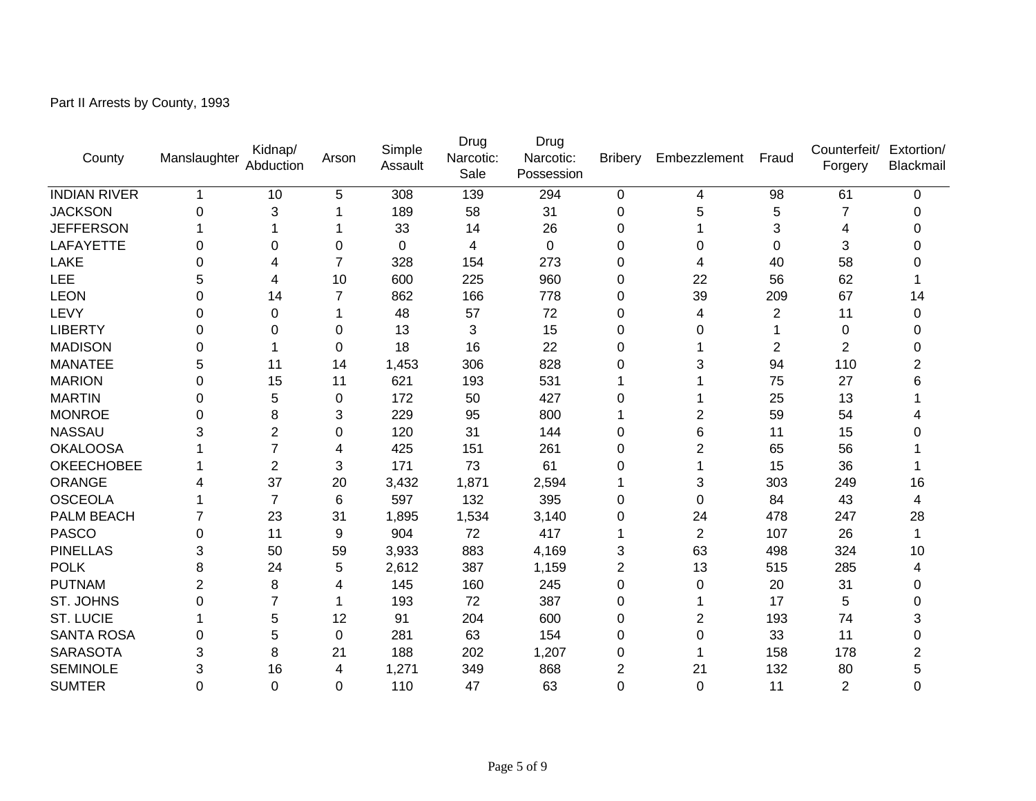Part II Arrests by County, 1993

| County              | Manslaughter   | Kidnap/<br>Abduction | Arson           | Simple<br>Assault | Drug<br>Narcotic:<br>Sale | Drug<br>Narcotic:<br>Possession | <b>Bribery</b> | Embezzlement   | Fraud | Counterfeit/<br>Forgery | Extortion/<br>Blackmail |
|---------------------|----------------|----------------------|-----------------|-------------------|---------------------------|---------------------------------|----------------|----------------|-------|-------------------------|-------------------------|
| <b>INDIAN RIVER</b> | 1              | 10                   | 5               | 308               | 139                       | 294                             | $\mathbf 0$    | 4              | 98    | 61                      | 0                       |
| <b>JACKSON</b>      | $\Omega$       | 3                    |                 | 189               | 58                        | 31                              | 0              | 5              | 5     | 7                       | O                       |
| <b>JEFFERSON</b>    |                |                      |                 | 33                | 14                        | 26                              | 0              |                | 3     | 4                       | ⋂                       |
| LAFAYETTE           | 0              | 0                    | 0               | 0                 | 4                         | 0                               | 0              | 0              | 0     | 3                       |                         |
| LAKE                | O              | 4                    | 7               | 328               | 154                       | 273                             | 0              | 4              | 40    | 58                      |                         |
| LEE                 | 5              | 4                    | 10              | 600               | 225                       | 960                             | 0              | 22             | 56    | 62                      |                         |
| <b>LEON</b>         | 0              | 14                   | 7               | 862               | 166                       | 778                             | 0              | 39             | 209   | 67                      | 14                      |
| LEVY                | 0              | 0                    |                 | 48                | 57                        | 72                              | 0              | 4              | 2     | 11                      | 0                       |
| <b>LIBERTY</b>      | 0              | 0                    | $\Omega$        | 13                | 3                         | 15                              | 0              | 0              |       | 0                       | ი                       |
| <b>MADISON</b>      | 0              |                      | $\Omega$        | 18                | 16                        | 22                              | 0              |                | 2     | $\overline{2}$          | O                       |
| <b>MANATEE</b>      | 5              | 11                   | 14              | 1,453             | 306                       | 828                             | 0              | 3              | 94    | 110                     | 2                       |
| <b>MARION</b>       | 0              | 15                   | 11              | 621               | 193                       | 531                             |                |                | 75    | 27                      | 6                       |
| <b>MARTIN</b>       | 0              | 5                    | $\mathbf 0$     | 172               | 50                        | 427                             | 0              | 1              | 25    | 13                      |                         |
| <b>MONROE</b>       | 0              | 8                    | 3               | 229               | 95                        | 800                             |                | 2              | 59    | 54                      |                         |
| <b>NASSAU</b>       | 3              | $\overline{2}$       | 0               | 120               | 31                        | 144                             | 0              | 6              | 11    | 15                      |                         |
| <b>OKALOOSA</b>     |                |                      | 4               | 425               | 151                       | 261                             | 0              | 2              | 65    | 56                      |                         |
| <b>OKEECHOBEE</b>   |                | $\overline{2}$       | 3               | 171               | 73                        | 61                              | 0              | 1              | 15    | 36                      |                         |
| <b>ORANGE</b>       |                | 37                   | 20              | 3,432             | 1,871                     | 2,594                           |                | 3              | 303   | 249                     | 16                      |
| <b>OSCEOLA</b>      |                | $\overline{7}$       | $6\phantom{1}6$ | 597               | 132                       | 395                             | 0              | 0              | 84    | 43                      | 4                       |
| PALM BEACH          |                | 23                   | 31              | 1,895             | 1,534                     | 3,140                           | 0              | 24             | 478   | 247                     | 28                      |
| <b>PASCO</b>        | 0              | 11                   | 9               | 904               | 72                        | 417                             |                | $\overline{2}$ | 107   | 26                      |                         |
| <b>PINELLAS</b>     | 3              | 50                   | 59              | 3,933             | 883                       | 4,169                           | 3              | 63             | 498   | 324                     | 10                      |
| <b>POLK</b>         | 8              | 24                   | 5               | 2,612             | 387                       | 1,159                           | 2              | 13             | 515   | 285                     | 4                       |
| <b>PUTNAM</b>       | $\overline{2}$ | 8                    | 4               | 145               | 160                       | 245                             | 0              | 0              | 20    | 31                      | 0                       |
| ST. JOHNS           | 0              |                      |                 | 193               | 72                        | 387                             | 0              | 1              | 17    | 5                       | O                       |
| <b>ST. LUCIE</b>    |                | 5                    | 12              | 91                | 204                       | 600                             | 0              | 2              | 193   | 74                      | 3                       |
| <b>SANTA ROSA</b>   | 0              | 5                    | 0               | 281               | 63                        | 154                             | 0              | 0              | 33    | 11                      | 0                       |
| <b>SARASOTA</b>     | 3              | 8                    | 21              | 188               | 202                       | 1,207                           | 0              | 1              | 158   | 178                     | 2                       |
| <b>SEMINOLE</b>     | 3              | 16                   | 4               | 1,271             | 349                       | 868                             | 2              | 21             | 132   | 80                      | 5                       |
| <b>SUMTER</b>       | $\Omega$       | 0                    | $\Omega$        | 110               | 47                        | 63                              | 0              | 0              | 11    | $\overline{2}$          | 0                       |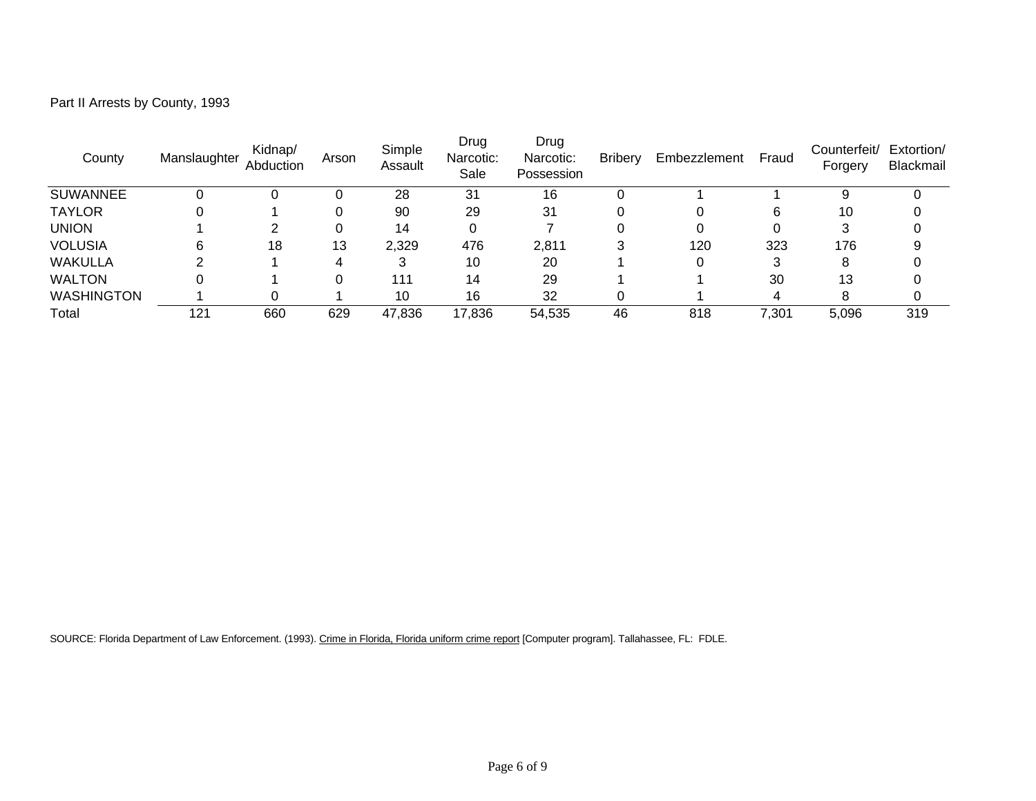| Part II Arrests by County, 1993 |  |  |  |
|---------------------------------|--|--|--|
|---------------------------------|--|--|--|

| County            | Manslaughter | Kidnap/<br>Abduction | Arson | Simple<br>Assault | Drug<br>Narcotic:<br>Sale | Drug<br>Narcotic:<br>Possession | <b>Bribery</b> | Embezzlement | Fraud | Counterfeit/<br>Forgery | Extortion/<br>Blackmail |
|-------------------|--------------|----------------------|-------|-------------------|---------------------------|---------------------------------|----------------|--------------|-------|-------------------------|-------------------------|
| <b>SUWANNEE</b>   |              |                      |       | 28                | 31                        | 16                              |                |              |       | 9                       |                         |
| <b>TAYLOR</b>     |              |                      | 0     | 90                | 29                        | 31                              |                |              | 6     | 10                      |                         |
| <b>UNION</b>      |              |                      | 0     | 14                |                           |                                 |                |              |       | 3                       |                         |
| <b>VOLUSIA</b>    | 6            | 18                   | 13    | 2,329             | 476                       | 2,811                           | 2              | 120          | 323   | 176                     |                         |
| <b>WAKULLA</b>    |              |                      | 4     | 3                 | 10                        | 20                              |                |              | 3     | 8                       |                         |
| <b>WALTON</b>     | 0            |                      |       | 111               | 14                        | 29                              |                |              | 30    | 13                      |                         |
| <b>WASHINGTON</b> |              |                      |       | 10                | 16                        | 32                              |                |              | 4     |                         |                         |
| Total             | 121          | 660                  | 629   | 47,836            | 17,836                    | 54,535                          | 46             | 818          | 7,301 | 5,096                   | 319                     |

SOURCE: Florida Department of Law Enforcement. (1993). Crime in Florida, Florida uniform crime report [Computer program]. Tallahassee, FL: FDLE.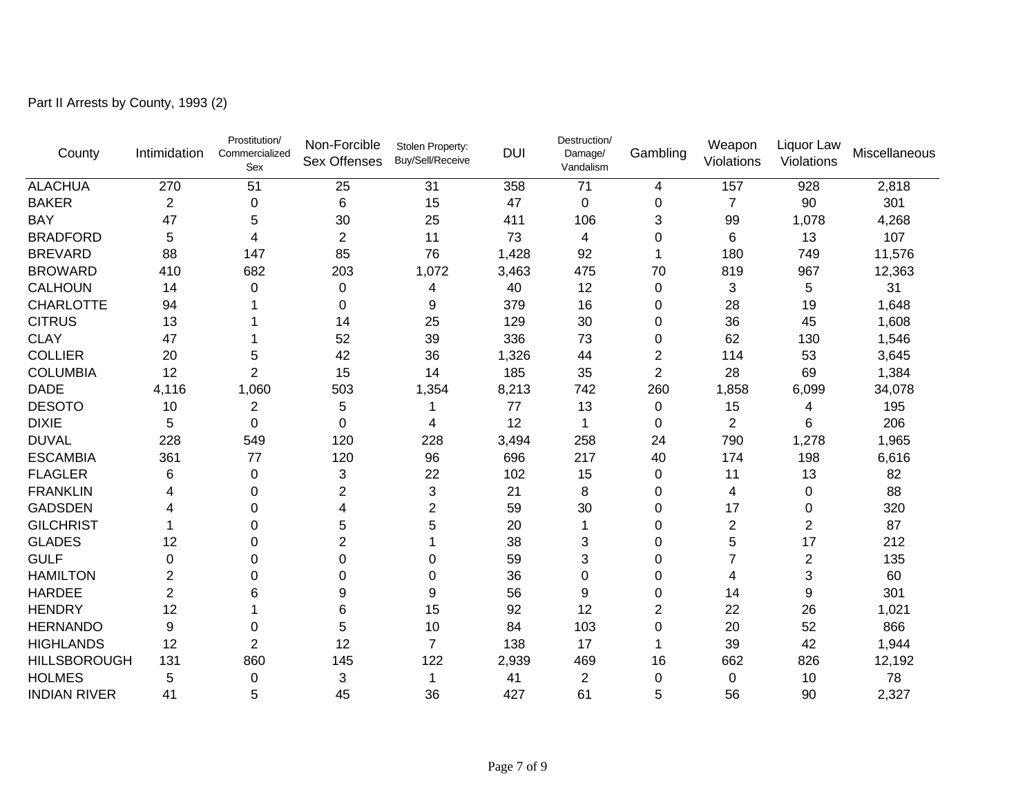Part II Arrests by County, 1993 (2)

| County              | Intimidation     | Prostitution/<br>Commercialized<br>Sex | Non-Forcible<br><b>Sex Offenses</b> | Stolen Property:<br>Buy/Sell/Receive | <b>DUI</b> | Destruction/<br>Damage/<br>Vandalism | Gambling       | Weapon<br>Violations | Liquor Law<br>Violations | Miscellaneous |
|---------------------|------------------|----------------------------------------|-------------------------------------|--------------------------------------|------------|--------------------------------------|----------------|----------------------|--------------------------|---------------|
| <b>ALACHUA</b>      | 270              | 51                                     | 25                                  | 31                                   | 358        | 71                                   | 4              | 157                  | 928                      | 2,818         |
| <b>BAKER</b>        | $\boldsymbol{2}$ | 0                                      | 6                                   | 15                                   | 47         | $\Omega$                             | 0              | $\overline{7}$       | 90                       | 301           |
| <b>BAY</b>          | 47               | 5                                      | 30                                  | 25                                   | 411        | 106                                  | 3              | 99                   | 1,078                    | 4,268         |
| <b>BRADFORD</b>     | 5                | 4                                      | $\overline{2}$                      | 11                                   | 73         | 4                                    | 0              | 6                    | 13                       | 107           |
| <b>BREVARD</b>      | 88               | 147                                    | 85                                  | 76                                   | 1,428      | 92                                   | 1              | 180                  | 749                      | 11,576        |
| <b>BROWARD</b>      | 410              | 682                                    | 203                                 | 1,072                                | 3,463      | 475                                  | 70             | 819                  | 967                      | 12,363        |
| <b>CALHOUN</b>      | 14               | $\Omega$                               | 0                                   | 4                                    | 40         | 12                                   | 0              | 3                    | 5                        | 31            |
| <b>CHARLOTTE</b>    | 94               |                                        | 0                                   | 9                                    | 379        | 16                                   | 0              | 28                   | 19                       | 1,648         |
| <b>CITRUS</b>       | 13               |                                        | 14                                  | 25                                   | 129        | 30                                   | 0              | 36                   | 45                       | 1,608         |
| <b>CLAY</b>         | 47               |                                        | 52                                  | 39                                   | 336        | 73                                   | 0              | 62                   | 130                      | 1,546         |
| <b>COLLIER</b>      | 20               | 5                                      | 42                                  | 36                                   | 1,326      | 44                                   | $\overline{2}$ | 114                  | 53                       | 3,645         |
| <b>COLUMBIA</b>     | 12               | 2                                      | 15                                  | 14                                   | 185        | 35                                   | $\overline{2}$ | 28                   | 69                       | 1,384         |
| <b>DADE</b>         | 4,116            | 1,060                                  | 503                                 | 1,354                                | 8,213      | 742                                  | 260            | 1,858                | 6,099                    | 34,078        |
| <b>DESOTO</b>       | 10               | 2                                      | 5                                   |                                      | 77         | 13                                   | 0              | 15                   | 4                        | 195           |
| <b>DIXIE</b>        | 5                | 0                                      | 0                                   | 4                                    | 12         | $\mathbf 1$                          | 0              | $\overline{2}$       | 6                        | 206           |
| <b>DUVAL</b>        | 228              | 549                                    | 120                                 | 228                                  | 3,494      | 258                                  | 24             | 790                  | 1,278                    | 1,965         |
| <b>ESCAMBIA</b>     | 361              | 77                                     | 120                                 | 96                                   | 696        | 217                                  | 40             | 174                  | 198                      | 6,616         |
| <b>FLAGLER</b>      | 6                | 0                                      | 3                                   | 22                                   | 102        | 15                                   | 0              | 11                   | 13                       | 82            |
| <b>FRANKLIN</b>     | 4                | 0                                      | 2                                   | 3                                    | 21         | 8                                    | 0              | 4                    | 0                        | 88            |
| <b>GADSDEN</b>      | 4                | 0                                      | 4                                   | $\overline{2}$                       | 59         | 30                                   | 0              | 17                   | 0                        | 320           |
| <b>GILCHRIST</b>    |                  | $\Omega$                               | 5                                   | 5                                    | 20         |                                      | 0              | $\overline{2}$       | $\overline{2}$           | 87            |
| <b>GLADES</b>       | 12               | 0                                      | $\overline{c}$                      |                                      | 38         | 3                                    | 0              | 5                    | 17                       | 212           |
| <b>GULF</b>         | 0                | 0                                      | 0                                   | 0                                    | 59         | 3                                    | 0              | $\overline{7}$       | $\overline{2}$           | 135           |
| <b>HAMILTON</b>     | 2                | U                                      | 0                                   | 0                                    | 36         | $\overline{0}$                       | 0              | 4                    | 3                        | 60            |
| <b>HARDEE</b>       | 2                | 6                                      | 9                                   | 9                                    | 56         | 9                                    | 0              | 14                   | 9                        | 301           |
| <b>HENDRY</b>       | 12               |                                        | 6                                   | 15                                   | 92         | 12                                   | $\overline{c}$ | 22                   | 26                       | 1,021         |
| <b>HERNANDO</b>     | 9                | 0                                      | 5                                   | 10                                   | 84         | 103                                  | 0              | 20                   | 52                       | 866           |
| <b>HIGHLANDS</b>    | 12               | $\overline{2}$                         | 12                                  | $\overline{7}$                       | 138        | 17                                   | 1              | 39                   | 42                       | 1,944         |
| <b>HILLSBOROUGH</b> | 131              | 860                                    | 145                                 | 122                                  | 2,939      | 469                                  | 16             | 662                  | 826                      | 12,192        |
| <b>HOLMES</b>       | 5                | 0                                      | 3                                   | 1                                    | 41         | $\boldsymbol{2}$                     | 0              | 0                    | 10                       | 78            |
| <b>INDIAN RIVER</b> | 41               | 5                                      | 45                                  | 36                                   | 427        | 61                                   | 5              | 56                   | 90                       | 2,327         |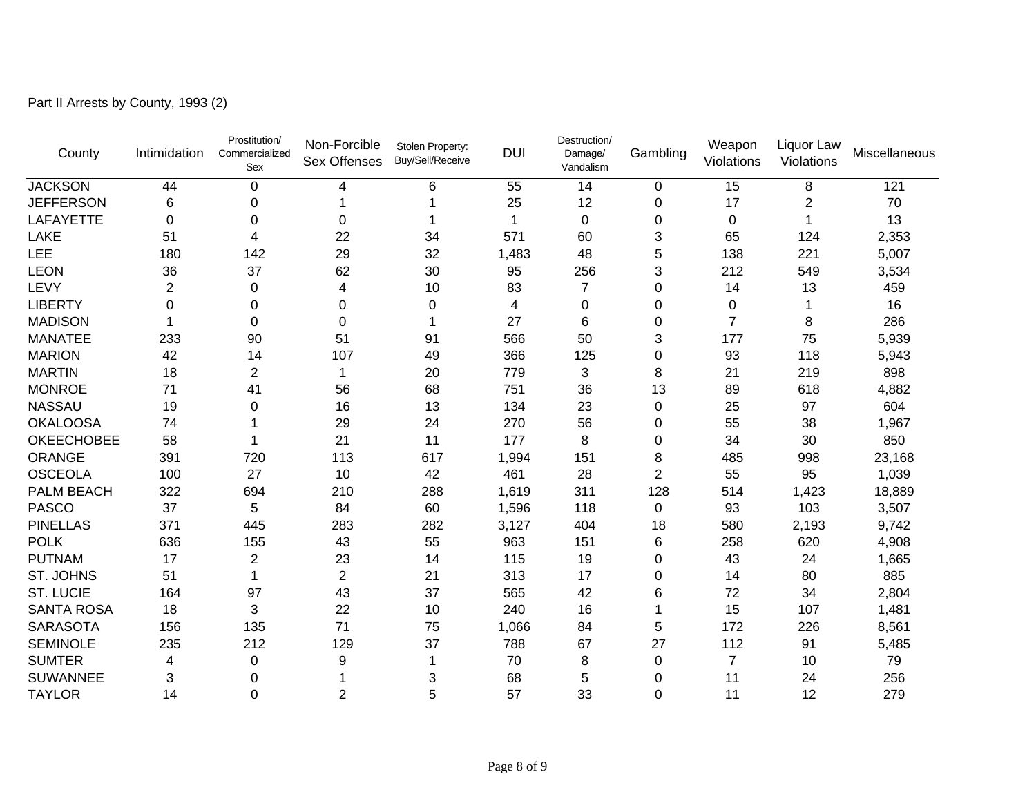| County            | Intimidation   | Prostitution/<br>Commercialized<br>Sex | Non-Forcible<br><b>Sex Offenses</b> | Stolen Property:<br>Buy/Sell/Receive | <b>DUI</b> | Destruction/<br>Damage/<br>Vandalism | Gambling       | Weapon<br>Violations | Liquor Law<br>Violations | Miscellaneous |
|-------------------|----------------|----------------------------------------|-------------------------------------|--------------------------------------|------------|--------------------------------------|----------------|----------------------|--------------------------|---------------|
| <b>JACKSON</b>    | 44             | $\mathbf 0$                            | 4                                   | 6                                    | 55         | 14                                   | 0              | 15                   | 8                        | 121           |
| <b>JEFFERSON</b>  | 6              | 0                                      | 1                                   |                                      | 25         | 12                                   | 0              | 17                   | $\overline{c}$           | 70            |
| <b>LAFAYETTE</b>  | 0              | 0                                      | 0                                   |                                      | 1          | $\mathbf 0$                          | 0              | $\mathbf 0$          | $\mathbf 1$              | 13            |
| LAKE              | 51             | 4                                      | 22                                  | 34                                   | 571        | 60                                   | 3              | 65                   | 124                      | 2,353         |
| LEE               | 180            | 142                                    | 29                                  | 32                                   | 1,483      | 48                                   | 5              | 138                  | 221                      | 5,007         |
| <b>LEON</b>       | 36             | 37                                     | 62                                  | 30                                   | 95         | 256                                  | 3              | 212                  | 549                      | 3,534         |
| LEVY              | $\overline{2}$ | $\Omega$                               | 4                                   | 10                                   | 83         | $\overline{7}$                       | $\mathbf 0$    | 14                   | 13                       | 459           |
| <b>LIBERTY</b>    | 0              | $\Omega$                               | 0                                   | 0                                    | 4          | 0                                    | $\Omega$       | 0                    |                          | 16            |
| <b>MADISON</b>    |                | $\Omega$                               | 0                                   | 1                                    | 27         | 6                                    | $\mathbf 0$    | $\overline{7}$       | 8                        | 286           |
| <b>MANATEE</b>    | 233            | 90                                     | 51                                  | 91                                   | 566        | 50                                   | 3              | 177                  | 75                       | 5,939         |
| <b>MARION</b>     | 42             | 14                                     | 107                                 | 49                                   | 366        | 125                                  | $\Omega$       | 93                   | 118                      | 5,943         |
| <b>MARTIN</b>     | 18             | 2                                      | 1                                   | 20                                   | 779        | 3                                    | 8              | 21                   | 219                      | 898           |
| <b>MONROE</b>     | 71             | 41                                     | 56                                  | 68                                   | 751        | 36                                   | 13             | 89                   | 618                      | 4,882         |
| <b>NASSAU</b>     | 19             | 0                                      | 16                                  | 13                                   | 134        | 23                                   | $\pmb{0}$      | 25                   | 97                       | 604           |
| <b>OKALOOSA</b>   | 74             |                                        | 29                                  | 24                                   | 270        | 56                                   | 0              | 55                   | 38                       | 1,967         |
| <b>OKEECHOBEE</b> | 58             |                                        | 21                                  | 11                                   | 177        | 8                                    | 0              | 34                   | 30                       | 850           |
| ORANGE            | 391            | 720                                    | 113                                 | 617                                  | 1,994      | 151                                  | 8              | 485                  | 998                      | 23,168        |
| <b>OSCEOLA</b>    | 100            | 27                                     | 10                                  | 42                                   | 461        | 28                                   | $\overline{2}$ | 55                   | 95                       | 1,039         |
| PALM BEACH        | 322            | 694                                    | 210                                 | 288                                  | 1,619      | 311                                  | 128            | 514                  | 1,423                    | 18,889        |
| <b>PASCO</b>      | 37             | 5                                      | 84                                  | 60                                   | 1,596      | 118                                  | $\mathbf 0$    | 93                   | 103                      | 3,507         |
| <b>PINELLAS</b>   | 371            | 445                                    | 283                                 | 282                                  | 3,127      | 404                                  | 18             | 580                  | 2,193                    | 9,742         |
| <b>POLK</b>       | 636            | 155                                    | 43                                  | 55                                   | 963        | 151                                  | $\,6$          | 258                  | 620                      | 4,908         |
| <b>PUTNAM</b>     | 17             | $\overline{2}$                         | 23                                  | 14                                   | 115        | 19                                   | $\mathbf 0$    | 43                   | 24                       | 1,665         |
| <b>ST. JOHNS</b>  | 51             |                                        | $\overline{c}$                      | 21                                   | 313        | 17                                   | $\Omega$       | 14                   | 80                       | 885           |
| <b>ST. LUCIE</b>  | 164            | 97                                     | 43                                  | 37                                   | 565        | 42                                   | 6              | 72                   | 34                       | 2,804         |
| <b>SANTA ROSA</b> | 18             | 3                                      | 22                                  | 10                                   | 240        | 16                                   | 1              | 15                   | 107                      | 1,481         |
| <b>SARASOTA</b>   | 156            | 135                                    | 71                                  | 75                                   | 1,066      | 84                                   | 5              | 172                  | 226                      | 8,561         |
| <b>SEMINOLE</b>   | 235            | 212                                    | 129                                 | 37                                   | 788        | 67                                   | 27             | 112                  | 91                       | 5,485         |
| <b>SUMTER</b>     | 4              | 0                                      | 9                                   | 1                                    | 70         | 8                                    | $\Omega$       | 7                    | 10                       | 79            |
| <b>SUWANNEE</b>   | 3              | $\Omega$                               | 1                                   | 3                                    | 68         | 5                                    | 0              | 11                   | 24                       | 256           |
| <b>TAYLOR</b>     | 14             | $\Omega$                               | $\overline{2}$                      | 5                                    | 57         | 33                                   | $\mathbf 0$    | 11                   | 12                       | 279           |